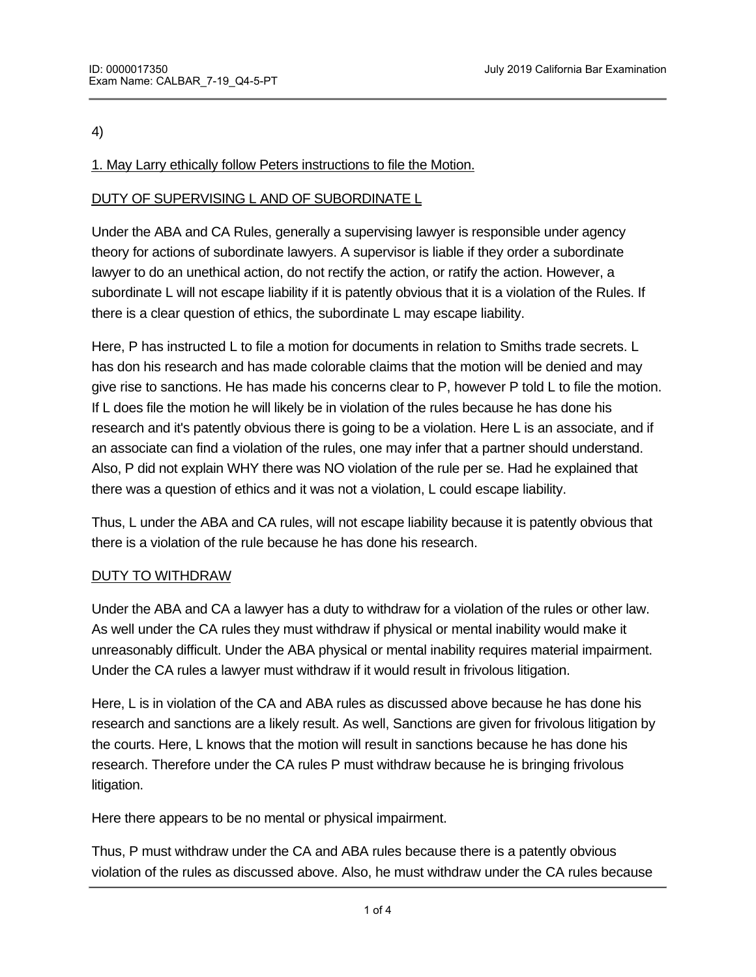#### 4)

## 1. May Larry ethically follow Peters instructions to file the Motion.

## DUTY OF SUPERVISING L AND OF SUBORDINATE L

Under the ABA and CA Rules, generally a supervising lawyer is responsible under agency theory for actions of subordinate lawyers. A supervisor is liable if they order a subordinate lawyer to do an unethical action, do not rectify the action, or ratify the action. However, a subordinate L will not escape liability if it is patently obvious that it is a violation of the Rules. If there is a clear question of ethics, the subordinate L may escape liability.

Here, P has instructed L to file a motion for documents in relation to Smiths trade secrets. L has don his research and has made colorable claims that the motion will be denied and may give rise to sanctions. He has made his concerns clear to P, however P told L to file the motion. If L does file the motion he will likely be in violation of the rules because he has done his research and it's patently obvious there is going to be a violation. Here L is an associate, and if an associate can find a violation of the rules, one may infer that a partner should understand. Also, P did not explain WHY there was NO violation of the rule per se. Had he explained that there was a question of ethics and it was not a violation, L could escape liability.

Thus, L under the ABA and CA rules, will not escape liability because it is patently obvious that there is a violation of the rule because he has done his research.

### DUTY TO WITHDRAW

Under the ABA and CA a lawyer has a duty to withdraw for a violation of the rules or other law. As well under the CA rules they must withdraw if physical or mental inability would make it unreasonably difficult. Under the ABA physical or mental inability requires material impairment. Under the CA rules a lawyer must withdraw if it would result in frivolous litigation.

Here, L is in violation of the CA and ABA rules as discussed above because he has done his research and sanctions are a likely result. As well, Sanctions are given for frivolous litigation by the courts. Here, L knows that the motion will result in sanctions because he has done his research. Therefore under the CA rules P must withdraw because he is bringing frivolous litigation.

Here there appears to be no mental or physical impairment.

Thus, P must withdraw under the CA and ABA rules because there is a patently obvious violation of the rules as discussed above. Also, he must withdraw under the CA rules because

filing the motion will result in sanctions which is construed as bringing forward frivolous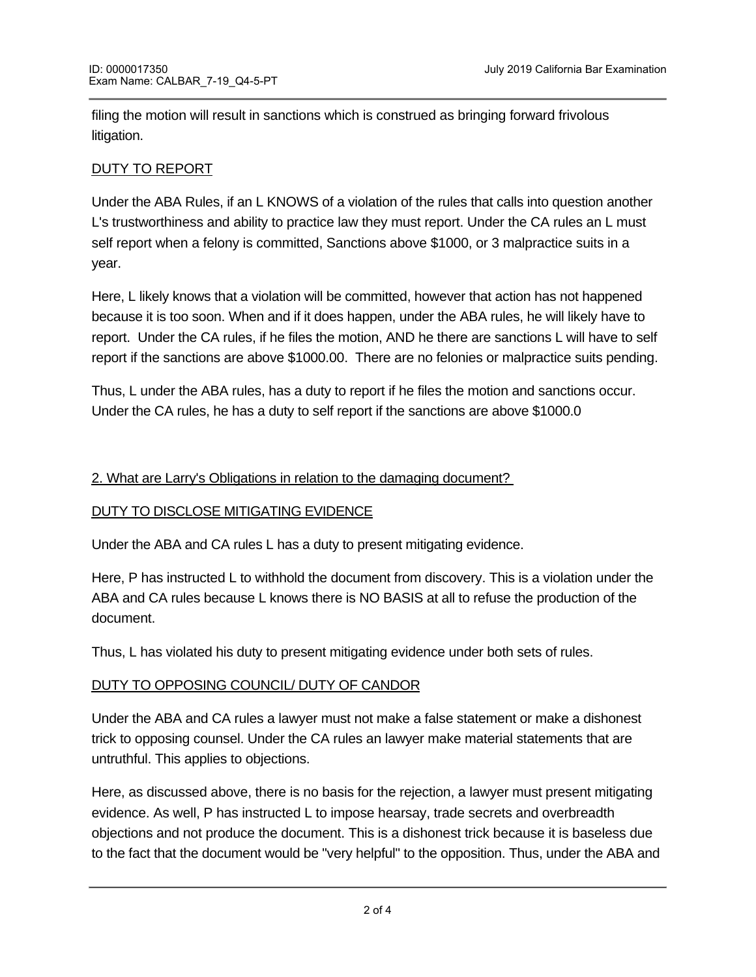filing the motion will result in sanctions which is construed as bringing forward frivolous litigation.

# DUTY TO REPORT

Under the ABA Rules, if an L KNOWS of a violation of the rules that calls into question another L's trustworthiness and ability to practice law they must report. Under the CA rules an L must self report when a felony is committed, Sanctions above \$1000, or 3 malpractice suits in a year.

Here, L likely knows that a violation will be committed, however that action has not happened because it is too soon. When and if it does happen, under the ABA rules, he will likely have to report. Under the CA rules, if he files the motion, AND he there are sanctions L will have to self report if the sanctions are above \$1000.00. There are no felonies or malpractice suits pending.

Thus, L under the ABA rules, has a duty to report if he files the motion and sanctions occur. Under the CA rules, he has a duty to self report if the sanctions are above \$1000.0

### 2. What are Larry's Obligations in relation to the damaging document?

### DUTY TO DISCLOSE MITIGATING EVIDENCE

Under the ABA and CA rules L has a duty to present mitigating evidence.

Here, P has instructed L to withhold the document from discovery. This is a violation under the ABA and CA rules because L knows there is NO BASIS at all to refuse the production of the document.

Thus, L has violated his duty to present mitigating evidence under both sets of rules.

### DUTY TO OPPOSING COUNCIL/ DUTY OF CANDOR

Under the ABA and CA rules a lawyer must not make a false statement or make a dishonest trick to opposing counsel. Under the CA rules an lawyer make material statements that are untruthful. This applies to objections.

Here, as discussed above, there is no basis for the rejection, a lawyer must present mitigating evidence. As well, P has instructed L to impose hearsay, trade secrets and overbreadth objections and not produce the document. This is a dishonest trick because it is baseless due to the fact that the document would be "very helpful" to the opposition. Thus, under the ABA and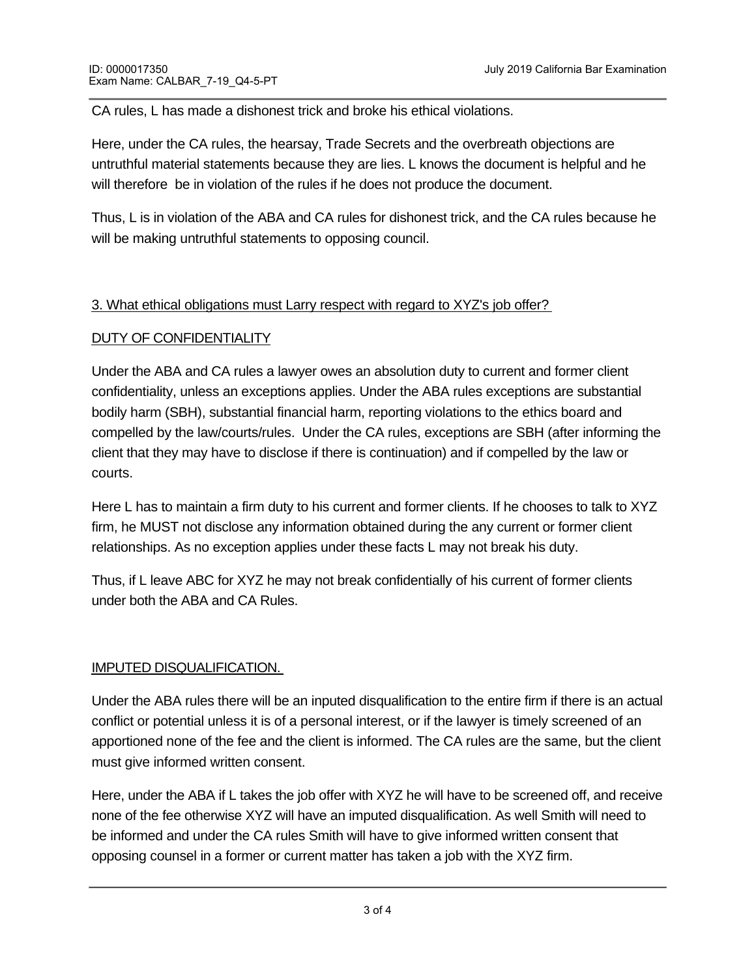CA rules, L has made a dishonest trick and broke his ethical violations.

Here, under the CA rules, the hearsay, Trade Secrets and the overbreath objections are untruthful material statements because they are lies. L knows the document is helpful and he will therefore be in violation of the rules if he does not produce the document.

Thus, L is in violation of the ABA and CA rules for dishonest trick, and the CA rules because he will be making untruthful statements to opposing council.

### 3. What ethical obligations must Larry respect with regard to XYZ's job offer?

#### DUTY OF CONFIDENTIALITY

Under the ABA and CA rules a lawyer owes an absolution duty to current and former client confidentiality, unless an exceptions applies. Under the ABA rules exceptions are substantial bodily harm (SBH), substantial financial harm, reporting violations to the ethics board and compelled by the law/courts/rules. Under the CA rules, exceptions are SBH (after informing the client that they may have to disclose if there is continuation) and if compelled by the law or courts.

Here L has to maintain a firm duty to his current and former clients. If he chooses to talk to XYZ firm, he MUST not disclose any information obtained during the any current or former client relationships. As no exception applies under these facts L may not break his duty.

Thus, if L leave ABC for XYZ he may not break confidentially of his current of former clients under both the ABA and CA Rules.

#### IMPUTED DISQUALIFICATION.

Under the ABA rules there will be an inputed disqualification to the entire firm if there is an actual conflict or potential unless it is of a personal interest, or if the lawyer is timely screened of an apportioned none of the fee and the client is informed. The CA rules are the same, but the client must give informed written consent.

Here, under the ABA if L takes the job offer with XYZ he will have to be screened off, and receive none of the fee otherwise XYZ will have an imputed disqualification. As well Smith will need to be informed and under the CA rules Smith will have to give informed written consent that opposing counsel in a former or current matter has taken a job with the XYZ firm.